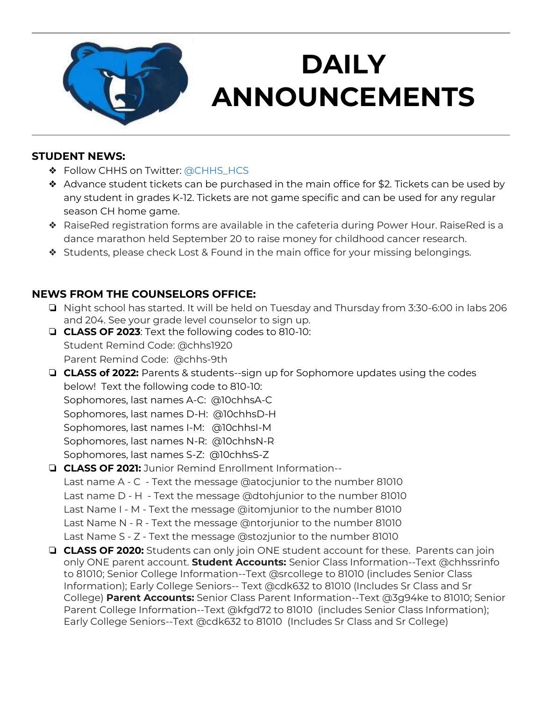

# **DAILY ANNOUNCEMENTS**

**September 3, 2019** 

#### **STUDENT NEWS:**

- ◆ Follow CHHS on Twitter: [@CHHS\\_HCS](https://twitter.com/CHHS_HCS)
- ❖ Advance student tickets can be purchased in the main office for \$2. Tickets can be used by any student in grades K-12. Tickets are not game specific and can be used for any regular season CH home game.
- ❖ RaiseRed registration forms are available in the cafeteria during Power Hour. RaiseRed is a dance marathon held September 20 to raise money for childhood cancer research.
- ❖ Students, please check Lost & Found in the main office for your missing belongings.

### **NEWS FROM THE COUNSELORS OFFICE:**

- ❏ Night school has started. It will be held on Tuesday and Thursday from 3:30-6:00 in labs 206 and 204. See your grade level counselor to sign up.
- ❏ **CLASS OF 2023**: Text the following codes to 810-10: Student Remind Code: @chhs1920 Parent Remind Code: @chhs-9th

❏ **CLASS of 2022:** Parents & students--sign up for Sophomore updates using the codes below! Text the following code to 810-10: Sophomores, last names A-C: @10chhsA-C Sophomores, last names D-H: @10chhsD-H Sophomores, last names I-M: @10chhsI-M Sophomores, last names N-R: @10chhsN-R Sophomores, last names S-Z: @10chhsS-Z

#### ❏ **CLASS OF 2021:** Junior Remind Enrollment Information-- Last name A - C - Text the message @atocjunior to the number 81010 Last name D - H - Text the message @dtohjunior to the number 81010 Last Name I - M - Text the message @itomjunior to the number 81010 Last Name N - R - Text the message @ntorjunior to the number 81010 Last Name S - Z - Text the message @stozjunior to the number 81010

❏ **CLASS OF 2020:** Students can only join ONE student account for these. Parents can join only ONE parent account. **Student Accounts:** Senior Class Information--Text @chhssrinfo to 81010; Senior College Information--Text @srcollege to 81010 (includes Senior Class Information); Early College Seniors-- Text @cdk632 to 81010 (Includes Sr Class and Sr College) **Parent Accounts:** Senior Class Parent Information--Text @3g94ke to 81010; Senior Parent College Information--Text @kfgd72 to 81010 (includes Senior Class Information); Early College Seniors--Text @cdk632 to 81010 (Includes Sr Class and Sr College)